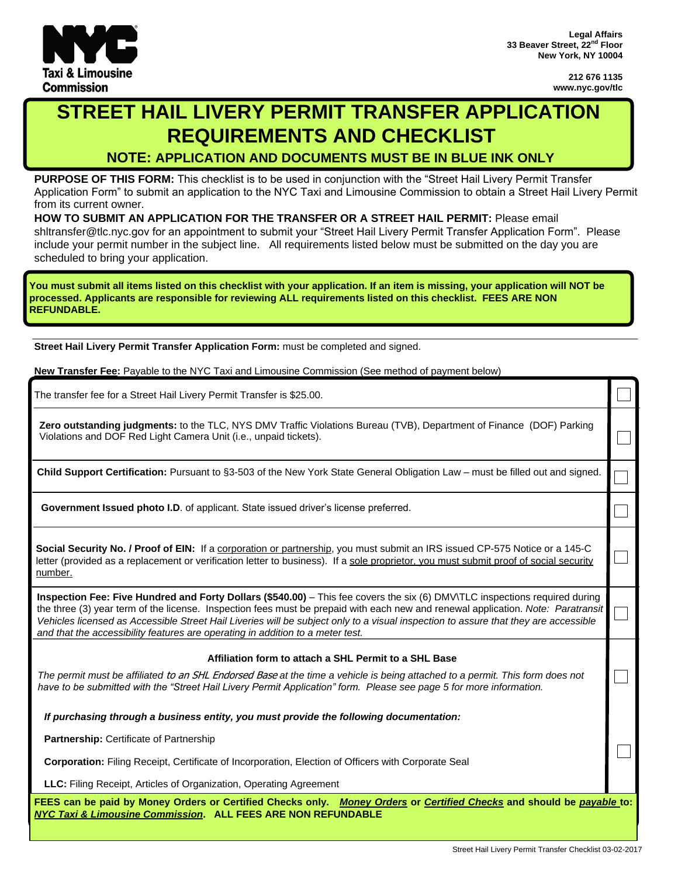

**212 676 1135 www.nyc.gov/tlc**

 $\Box$ 

 $\Box$ 

 $\Box$ 

٦

# **STREET HAIL LIVERY PERMIT TRANSFER APPLICATION REQUIREMENTS AND CHECKLIST**

**NOTE: APPLICATION AND DOCUMENTS MUST BE IN BLUE INK ONLY**

**PURPOSE OF THIS FORM:** This checklist is to be used in conjunction with the "Street Hail Livery Permit Transfer Application Form" to submit an application to the NYC Taxi and Limousine Commission to obtain a Street Hail Livery Permit from its current owner.

**HOW TO SUBMIT AN APPLICATION FOR THE TRANSFER OR A STREET HAIL PERMIT:** Please email shltransfer@tlc.nyc.gov for an appointment to submit your "Street Hail Livery Permit Transfer Application Form". Please include your permit number in the subject line. All requirements listed below must be submitted on the day you are scheduled to bring your application.

You must submit all items listed on this checklist with your application. If an item is missing, your application will NOT be **processed. Applicants are responsible for reviewing ALL requirements listed on this checklist. FEES ARE NON REFUNDABLE.**

**Street Hail Livery Permit Transfer Application Form:** must be completed and signed.

The transfer fee for a Street Hail Livery Permit Transfer is \$25.00.

Violations and DOF Red Light Camera Unit (i.e., unpaid tickets).<br>
Child Support Certification: Pursuant to §3-503 of the New York State General Obligation Law – must be filled out and signed. New Transfer Fee: Payable to the NYC Taxi and Limousine Commission (See method of payment below)<br>The transfer fee for a Street Hail Livery Permit Transfer is \$25.00.<br>**Zero outstanding judgments:** to the TLC, NYS DMV Traffi

**Government Issued photo I.D**. of applicant. State issued driver's license preferred.

**Social Security No. / Proof of EIN:** If a corporation or partnership, you must submit an IRS issued CP-575 Notice or a 145-C letter (provided as a replacement or verification letter to business). If a sole proprietor, you must submit proof of social security number.

**Inspection Fee: Five Hundred and Forty Dollars (\$540.00)** – This fee covers the six (6) DMV\TLC inspections required during the three (3) year term of the license. Inspection fees must be prepaid with each new and renewal application. *Note: Paratransit* Vehicles licensed as Accessible Street Hail Liveries will be subject only to a visual inspection to assure that they are accessible *and that the accessibility features are operating in addition to a meter test.*

#### **Affiliation form to attach a SHL Permit to a SHL Base**

The permit must be affiliated to an SHL Endorsed Base at the time a vehicle is being attached to a permit. This form does not have to be submitted with the "Street Hail Livery Permit Application" form. Please see page 5 for more information.

*If purchasing through a business entity, you must provide the following documentation:*

**Partnership:** Certificate of Partnership

**Corporation:** Filing Receipt, Certificate of Incorporation, Election of Officers with Corporate Seal

**LLC:** Filing Receipt, Articles of Organization, Operating Agreement

FEES can be paid by Money Orders or Certified Checks only. Money Orders or Certified Checks and should be payable to: *NYC Taxi & Limousine Commission***. ALL FEES ARE NON REFUNDABLE**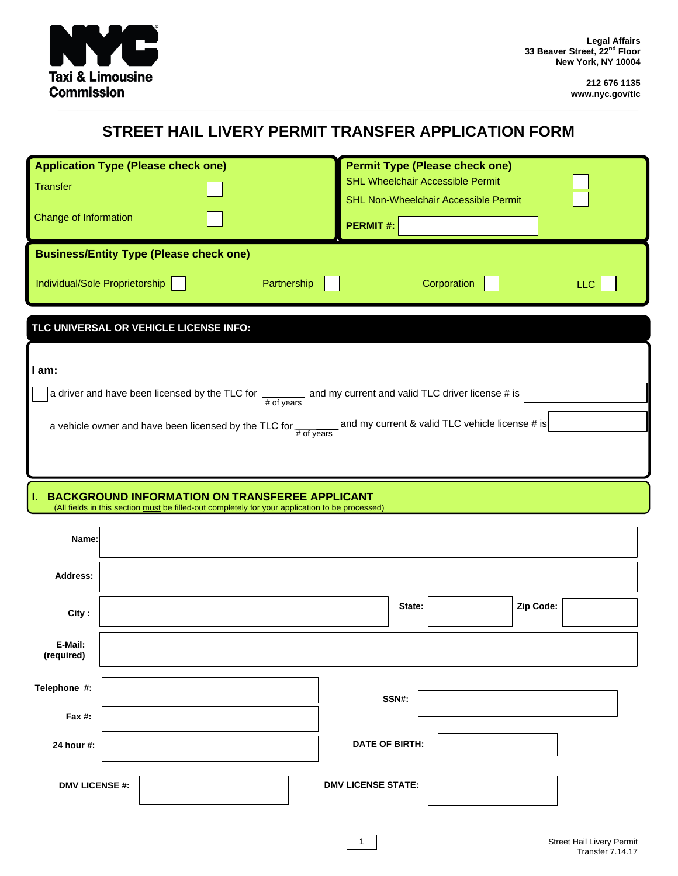

# STREET HAIL LIVERY PERMIT TRANSFER APPLICATION FORM

| <b>Application Type (Please check one)</b><br><b>Transfer</b><br>Change of Information                                                                                                                                                                                      | <b>Permit Type (Please check one)</b><br><b>SHL Wheelchair Accessible Permit</b><br><b>SHL Non-Wheelchair Accessible Permit</b><br><b>PERMIT#:</b> |
|-----------------------------------------------------------------------------------------------------------------------------------------------------------------------------------------------------------------------------------------------------------------------------|----------------------------------------------------------------------------------------------------------------------------------------------------|
| <b>Business/Entity Type (Please check one)</b>                                                                                                                                                                                                                              |                                                                                                                                                    |
| Individual/Sole Proprietorship<br>Partnership                                                                                                                                                                                                                               | Corporation<br>LLC                                                                                                                                 |
| TLC UNIVERSAL OR VEHICLE LICENSE INFO:                                                                                                                                                                                                                                      |                                                                                                                                                    |
| I am:<br>a driver and have been licensed by the TLC for _________ and my current and valid TLC driver license # is<br>$#$ of years<br>a vehicle owner and have been licensed by the TLC for $\frac{1}{\# \text{ of years}}$ and my current & valid TLC vehicle license # is |                                                                                                                                                    |
| <b>I. BACKGROUND INFORMATION ON TRANSFEREE APPLICANT</b><br>(All fields in this section must be filled-out completely for your application to be processed)                                                                                                                 |                                                                                                                                                    |
| Name:                                                                                                                                                                                                                                                                       |                                                                                                                                                    |

| Address:              |  |  |                           |        |           |  |
|-----------------------|--|--|---------------------------|--------|-----------|--|
| City:                 |  |  |                           | State: | Zip Code: |  |
| E-Mail:<br>(required) |  |  |                           |        |           |  |
| Telephone #:          |  |  |                           | SSN#:  |           |  |
| Fax #:                |  |  |                           |        |           |  |
| 24 hour #:            |  |  | <b>DATE OF BIRTH:</b>     |        |           |  |
| <b>DMV LICENSE #:</b> |  |  | <b>DMV LICENSE STATE:</b> |        |           |  |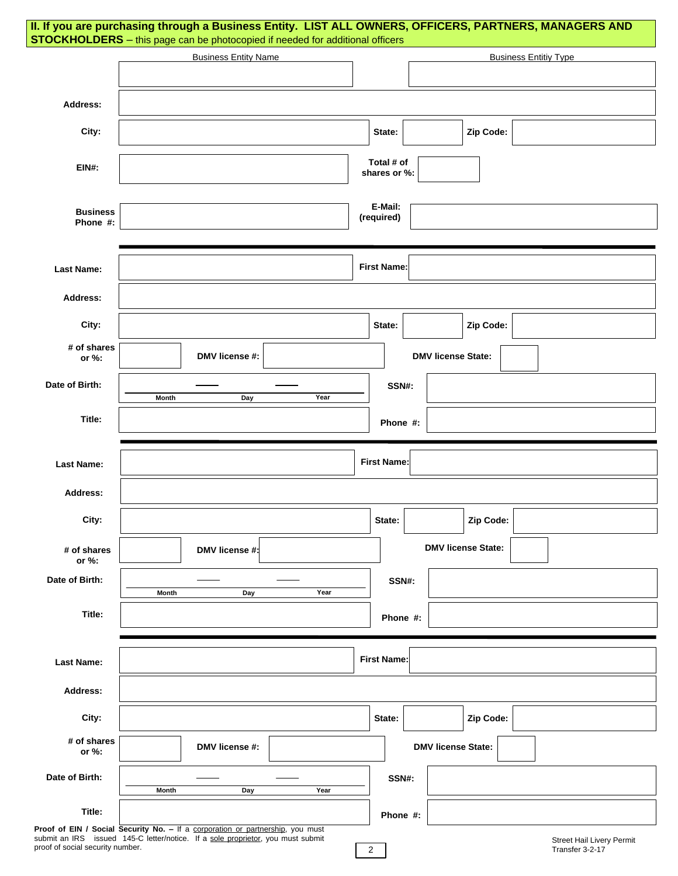|                                  | STOCKHOLDERS - this page can be photocopied if needed for additional officers                                                                                     | II. If you are purchasing through a Business Entity. LIST ALL OWNERS, OFFICERS, PARTNERS, MANAGERS AND |
|----------------------------------|-------------------------------------------------------------------------------------------------------------------------------------------------------------------|--------------------------------------------------------------------------------------------------------|
|                                  | <b>Business Entity Name</b>                                                                                                                                       | <b>Business Entitiy Type</b>                                                                           |
|                                  |                                                                                                                                                                   |                                                                                                        |
| Address:                         |                                                                                                                                                                   |                                                                                                        |
| City:                            |                                                                                                                                                                   | Zip Code:<br>State:                                                                                    |
| <b>EIN#:</b>                     |                                                                                                                                                                   | Total # of<br>shares or %:                                                                             |
| <b>Business</b><br>Phone #:      |                                                                                                                                                                   | E-Mail:<br>(required)                                                                                  |
| <b>Last Name:</b>                |                                                                                                                                                                   | <b>First Name:</b>                                                                                     |
| Address:                         |                                                                                                                                                                   |                                                                                                        |
| City:                            |                                                                                                                                                                   | Zip Code:<br>State:                                                                                    |
| # of shares<br>or %:             | DMV license #:                                                                                                                                                    | <b>DMV license State:</b>                                                                              |
| Date of Birth:                   | Year<br>Month<br>Day                                                                                                                                              | SSN#:                                                                                                  |
| Title:                           |                                                                                                                                                                   | Phone #:                                                                                               |
| <b>Last Name:</b>                |                                                                                                                                                                   | <b>First Name:</b>                                                                                     |
| Address:                         |                                                                                                                                                                   |                                                                                                        |
| City:                            |                                                                                                                                                                   | Zip Code:<br>State:                                                                                    |
| # of shares<br>or %:             | DMV license #:                                                                                                                                                    | <b>DMV license State:</b>                                                                              |
| Date of Birth:                   | Year<br>Month<br>Day                                                                                                                                              | SSN#:                                                                                                  |
| Title:                           |                                                                                                                                                                   | Phone #:                                                                                               |
| <b>Last Name:</b>                |                                                                                                                                                                   | <b>First Name:</b>                                                                                     |
| Address:                         |                                                                                                                                                                   |                                                                                                        |
| City:                            |                                                                                                                                                                   | Zip Code:<br>State:                                                                                    |
| # of shares<br>or $%$ :          | DMV license #:                                                                                                                                                    | <b>DMV license State:</b>                                                                              |
| Date of Birth:                   | Month<br>Day<br>Year                                                                                                                                              | SSN#:                                                                                                  |
| Title:                           |                                                                                                                                                                   | Phone #:                                                                                               |
| proof of social security number. | Proof of EIN / Social Security No. - If a corporation or partnership, you must<br>submit an IRS issued 145-C letter/notice. If a sole proprietor, you must submit | Street Hail Livery Permit<br>$\overline{2}$<br>Transfer 3-2-17                                         |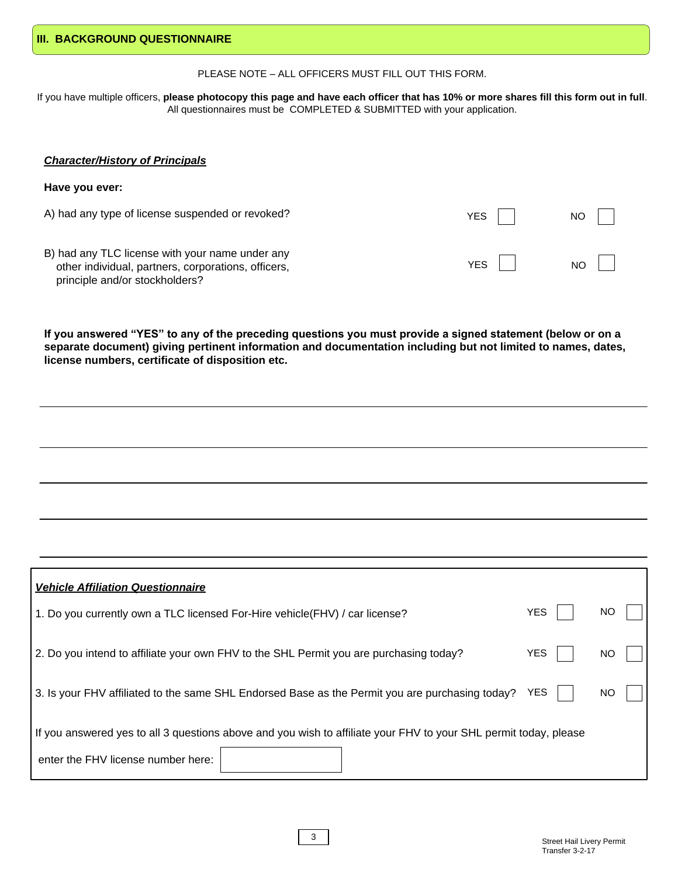YES NO

| III. BACKGROUND QUESTIONNAIRE |
|-------------------------------|
|-------------------------------|

PLEASE NOTE – ALL OFFICERS MUST FILL OUT THIS FORM.

If you have multiple officers, please photocopy this page and have each officer that has 10% or more shares fill this form out in full. All questionnaires must be COMPLETED & SUBMITTED with your application.

#### *Character/History of Principals*

**Have you ever:**

A) had any type of license suspended or revoked? YES | NO

B) had any TLC license with your name under any other individual, partners, corporations, officers, principle and/or stockholders?

If you answered "YES" to any of the preceding questions you must provide a signed statement (below or on a **separate document) giving pertinent information and documentation including but not limited to names, dates, license numbers, certificate of disposition etc.**

| <b>Vehicle Affiliation Questionnaire</b>                                                                         |            |           |  |
|------------------------------------------------------------------------------------------------------------------|------------|-----------|--|
| 1. Do you currently own a TLC licensed For-Hire vehicle (FHV) / car license?                                     | <b>YES</b> | ΝO        |  |
| 2. Do you intend to affiliate your own FHV to the SHL Permit you are purchasing today?                           | <b>YES</b> | NO        |  |
| 3. Is your FHV affiliated to the same SHL Endorsed Base as the Permit you are purchasing today?                  | YES        | <b>NO</b> |  |
| If you answered yes to all 3 questions above and you wish to affiliate your FHV to your SHL permit today, please |            |           |  |
| enter the FHV license number here:                                                                               |            |           |  |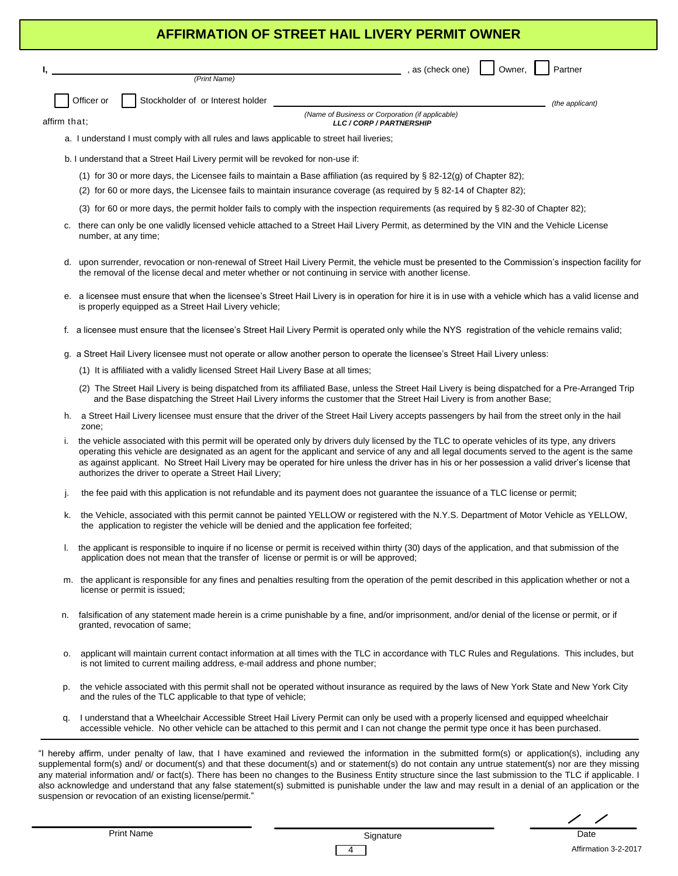# **AFFIRMATION OF STREET HAIL LIVERY PERMIT OWNER AFFIRMATION OF STREET HAIL LIVERY PERMIT OWNER**

, as (check one) | | Owner, | | Partner

*(the applicant)*

Officer or  $\int$  Stockholder of or Interest holder

*(Name of Business or Corporation (if applicable) LLC / CORP / PARTNERSHIP*

affirm that;

a. I understand I must comply with all rules and laws applicable to street hail liveries;

b. I understand that a Street Hail Livery permit will be revoked for non-use if:

*(Print Name)*

- (1) for 30 or more days, the Licensee fails to maintain a Base affiliation (as required by § 82-12(g) of Chapter 82);
- (2) for 60 or more days, the Licensee fails to maintain insurance coverage (as required by § 82-14 of Chapter 82);
- (3) for 60 or more days, the permit holder fails to comply with the inspection requirements (as required by § 82-30 of Chapter 82);
- c. there can only be one validly licensed vehicle attached to a Street Hail Livery Permit, as determined by the VIN and the Vehicle License number, at any time;
- d. upon surrender, revocation or non-renewal of Street Hail Livery Permit, the vehicle must be presented to the Commission's inspection facility for the removal of the license decal and meter whether or not continuing in service with another license.
- e. a licensee must ensure that when the licensee's Street Hail Livery is in operation for hire it is in use with a vehicle which has a valid license and is properly equipped as a Street Hail Livery vehicle;
- f. a licensee must ensure that the licensee's Street Hail Livery Permit is operated only while the NYS registration of the vehicle remains valid;
- g. a Street Hail Livery licensee must not operate or allow another person to operate the licensee's Street Hail Livery unless:
	- (1) It is affiliated with a validly licensed Street Hail Livery Base at all times;
	- (2) The Street Hail Livery is being dispatched from its affiliated Base, unless the Street Hail Livery is being dispatched for a Pre-Arranged Trip and the Base dispatching the Street Hail Livery informs the customer that the Street Hail Livery is from another Base;
- h. a Street Hail Livery licensee must ensure that the driver of the Street Hail Livery accepts passengers by hail from the street only in the hail zone;
- i. the vehicle associated with this permit will be operated only by drivers duly licensed by the TLC to operate vehicles of its type, any drivers operating this vehicle are designated as an agent for the applicant and service of any and all legal documents served to the agent is the same as against applicant. No Street Hail Livery may be operated for hire unless the driver has in his or her possession a valid driver's license that authorizes the driver to operate a Street Hail Livery;
- j. the fee paid with this application is not refundable and its payment does not guarantee the issuance of a TLC license or permit;
- k. the Vehicle, associated with this permit cannot be painted YELLOW or registered with the N.Y.S. Department of Motor Vehicle as YELLOW, the application to register the vehicle will be denied and the application fee forfeited;
- l. the applicant is responsible to inquire if no license or permit is received within thirty (30) days of the application, and that submission of the application does not mean that the transfer of license or permit is or will be approved;
- m. the applicant is responsible for any fines and penalties resulting from the operation of the pemit described in this application whether or not a license or permit is issued;
- n. falsification of any statement made herein is a crime punishable by a fine, and/or imprisonment, and/or denial of the license or permit, or if granted, revocation of same;
- o. applicant will maintain current contact information at all times with the TLC in accordance with TLC Rules and Regulations. This includes, but is not limited to current mailing address, e-mail address and phone number;
- p. the vehicle associated with this permit shall not be operated without insurance as required by the laws of New York State and New York City and the rules of the TLC applicable to that type of vehicle;
- q. I understand that a Wheelchair Accessible Street Hail Livery Permit can only be used with a properly licensed and equipped wheelchair accessible vehicle. No other vehicle can be attached to this permit and I can not change the permit type once it has been purchased.

"I hereby affirm, under penalty of law, that I have examined and reviewed the information in the submitted form(s) or application(s), including any supplemental form(s) and/ or document(s) and that these document(s) and or statement(s) do not contain any untrue statement(s) nor are they missing any material information and/ or fact(s). There has been no changes to the Business Entity structure since the last submission to the TLC if applicable. I also acknowledge and understand that any false statement(s) submitted is punishable under the law and may result in a denial of an application or the suspension or revocation of an existing license/permit."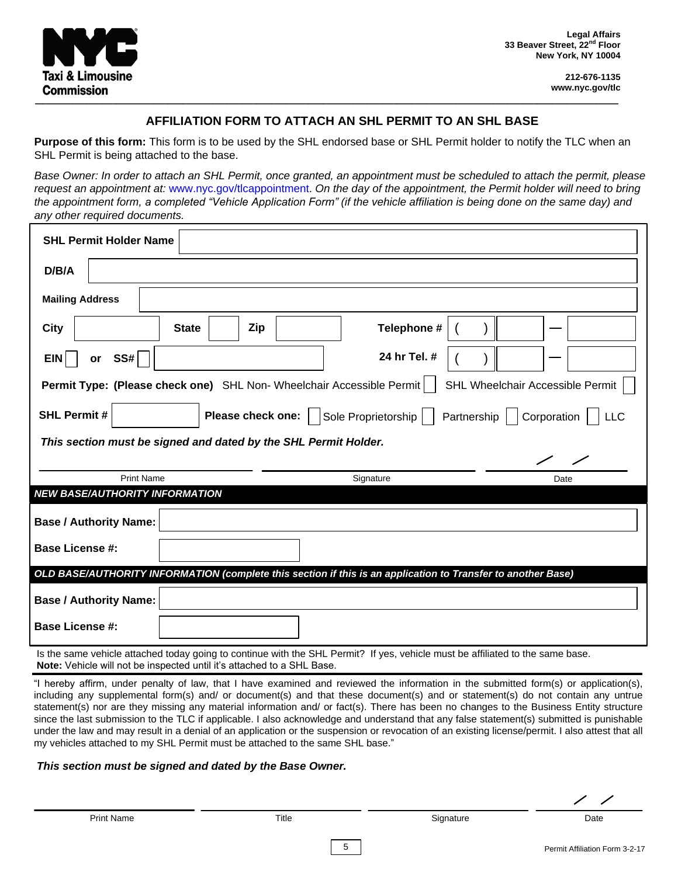

#### **AFFILIATION FORM TO ATTACH AN SHL PERMIT TO AN SHL BASE**

**Purpose of this form:** This form is to be used by the SHL endorsed base or SHL Permit holder to notify the TLC when an SHL Permit is being attached to the base.

Base Owner: In order to attach an SHL Permit, once granted, an appointment must be scheduled to attach the permit, please request an appointment at: www.nyc.gov/tlcappointment. On the day of the appointment, the Permit holder will need to bring the appointment form, a completed "Vehicle Application Form" (if the vehicle affiliation is being done on the same day) and *any other required documents.*

| <b>SHL Permit Holder Name</b>                                                                                |              |                   |                     |                                                                                                                                |
|--------------------------------------------------------------------------------------------------------------|--------------|-------------------|---------------------|--------------------------------------------------------------------------------------------------------------------------------|
| D/B/A                                                                                                        |              |                   |                     |                                                                                                                                |
| <b>Mailing Address</b>                                                                                       |              |                   |                     |                                                                                                                                |
| <b>City</b>                                                                                                  | <b>State</b> | Zip               | Telephone #         |                                                                                                                                |
| SS#<br><b>EIN</b><br>or                                                                                      |              |                   | 24 hr Tel. #        |                                                                                                                                |
| SHL Wheelchair Accessible Permit<br>Permit Type: (Please check one) SHL Non-Wheelchair Accessible Permit     |              |                   |                     |                                                                                                                                |
| <b>SHL Permit #</b>                                                                                          |              | Please check one: | Sole Proprietorship | Partnership   Corporation     LLC                                                                                              |
| This section must be signed and dated by the SHL Permit Holder.                                              |              |                   |                     |                                                                                                                                |
|                                                                                                              |              |                   |                     |                                                                                                                                |
| <b>Print Name</b><br><b>NEW BASE/AUTHORITY INFORMATION</b>                                                   |              |                   | Signature           | Date                                                                                                                           |
| <b>Base / Authority Name:</b>                                                                                |              |                   |                     |                                                                                                                                |
| <b>Base License #:</b>                                                                                       |              |                   |                     |                                                                                                                                |
| OLD BASE/AUTHORITY INFORMATION (complete this section if this is an application to Transfer to another Base) |              |                   |                     |                                                                                                                                |
| <b>Base / Authority Name:</b>                                                                                |              |                   |                     |                                                                                                                                |
| <b>Base License #:</b>                                                                                       |              |                   |                     |                                                                                                                                |
|                                                                                                              |              |                   |                     | Is the same vehicle attached today going to continue with the SHL Permit? If yes, vehicle must be affiliated to the same base. |

**Note:** Vehicle will not be inspected until it's attached to a SHL Base.

"I hereby affirm, under penalty of law, that I have examined and reviewed the information in the submitted form(s) or application(s), including any supplemental form(s) and/ or document(s) and that these document(s) and or statement(s) do not contain any untrue statement(s) nor are they missing any material information and/ or fact(s). There has been no changes to the Business Entity structure since the last submission to the TLC if applicable. I also acknowledge and understand that any false statement(s) submitted is punishable under the law and may result in a denial of an application or the suspension or revocation of an existing license/permit. I also attest that all my vehicles attached to my SHL Permit must be attached to the same SHL base."

5 5

#### *This section must be signed and dated by the Base Owner.*

Print Name **Signature Contact Accord Date** Contact Title Signature Signature Date Date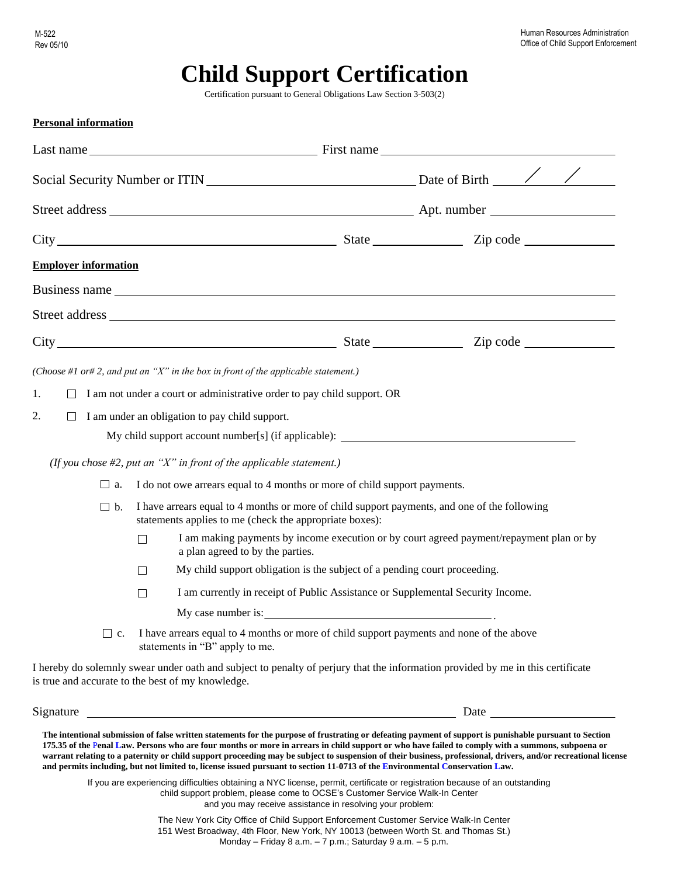# **Child Support Certification**

Certification pursuant to General Obligations Law Section 3-503(2)

| <b>Personal information</b> |                                                                                                                                                         |  |                                                                                                                                                                                                                                                                                                                                                                                                                                                                                |
|-----------------------------|---------------------------------------------------------------------------------------------------------------------------------------------------------|--|--------------------------------------------------------------------------------------------------------------------------------------------------------------------------------------------------------------------------------------------------------------------------------------------------------------------------------------------------------------------------------------------------------------------------------------------------------------------------------|
|                             |                                                                                                                                                         |  |                                                                                                                                                                                                                                                                                                                                                                                                                                                                                |
|                             |                                                                                                                                                         |  |                                                                                                                                                                                                                                                                                                                                                                                                                                                                                |
|                             |                                                                                                                                                         |  |                                                                                                                                                                                                                                                                                                                                                                                                                                                                                |
|                             |                                                                                                                                                         |  |                                                                                                                                                                                                                                                                                                                                                                                                                                                                                |
| <b>Employer information</b> |                                                                                                                                                         |  |                                                                                                                                                                                                                                                                                                                                                                                                                                                                                |
|                             |                                                                                                                                                         |  |                                                                                                                                                                                                                                                                                                                                                                                                                                                                                |
|                             |                                                                                                                                                         |  |                                                                                                                                                                                                                                                                                                                                                                                                                                                                                |
|                             |                                                                                                                                                         |  |                                                                                                                                                                                                                                                                                                                                                                                                                                                                                |
|                             | (Choose #1 or# 2, and put an "X" in the box in front of the applicable statement.)                                                                      |  |                                                                                                                                                                                                                                                                                                                                                                                                                                                                                |
| 1.                          | I am not under a court or administrative order to pay child support. OR                                                                                 |  |                                                                                                                                                                                                                                                                                                                                                                                                                                                                                |
| 2.<br>$\Box$                | I am under an obligation to pay child support.                                                                                                          |  |                                                                                                                                                                                                                                                                                                                                                                                                                                                                                |
|                             | My child support account number[s] (if applicable): ____________________________                                                                        |  |                                                                                                                                                                                                                                                                                                                                                                                                                                                                                |
|                             | (If you chose $#2$ , put an "X" in front of the applicable statement.)                                                                                  |  |                                                                                                                                                                                                                                                                                                                                                                                                                                                                                |
| $\Box$ a.                   | I do not owe arrears equal to 4 months or more of child support payments.                                                                               |  |                                                                                                                                                                                                                                                                                                                                                                                                                                                                                |
| $\Box$<br>b.                | I have arrears equal to 4 months or more of child support payments, and one of the following<br>statements applies to me (check the appropriate boxes): |  |                                                                                                                                                                                                                                                                                                                                                                                                                                                                                |
|                             | $\Box$<br>a plan agreed to by the parties.                                                                                                              |  | I am making payments by income execution or by court agreed payment/repayment plan or by                                                                                                                                                                                                                                                                                                                                                                                       |
|                             | My child support obligation is the subject of a pending court proceeding.<br>$\Box$                                                                     |  |                                                                                                                                                                                                                                                                                                                                                                                                                                                                                |
|                             | I am currently in receipt of Public Assistance or Supplemental Security Income.<br>П                                                                    |  |                                                                                                                                                                                                                                                                                                                                                                                                                                                                                |
|                             | My case number is:                                                                                                                                      |  |                                                                                                                                                                                                                                                                                                                                                                                                                                                                                |
|                             | c. I have arrears equal to 4 months or more of child support payments and none of the above<br>statements in "B" apply to me.                           |  |                                                                                                                                                                                                                                                                                                                                                                                                                                                                                |
|                             | is true and accurate to the best of my knowledge.                                                                                                       |  | I hereby do solemnly swear under oath and subject to penalty of perjury that the information provided by me in this certificate                                                                                                                                                                                                                                                                                                                                                |
| Signature                   | <u> Alexandria de la contrada de la contrada de la contrada de la contrada de la contrada de la contrada de la c</u>                                    |  |                                                                                                                                                                                                                                                                                                                                                                                                                                                                                |
|                             | and permits including, but not limited to, license issued pursuant to section 11-0713 of the Environmental Conservation Law.                            |  | The intentional submission of false written statements for the purpose of frustrating or defeating payment of support is punishable pursuant to Section<br>175.35 of the Penal Law. Persons who are four months or more in arrears in child support or who have failed to comply with a summons, subpoena or<br>warrant relating to a paternity or child support proceeding may be subject to suspension of their business, professional, drivers, and/or recreational license |

If you are experiencing difficulties obtaining a NYC license, permit, certificate or registration because of an outstanding child support problem, please come to OCSE's Customer Service Walk-In Center and you may receive assistance in resolving your problem:

> The New York City Office of Child Support Enforcement Customer Service Walk-In Center 151 West Broadway, 4th Floor, New York, NY 10013 (between Worth St. and Thomas St.) Monday – Friday 8 a.m. – 7 p.m.; Saturday 9 a.m. – 5 p.m.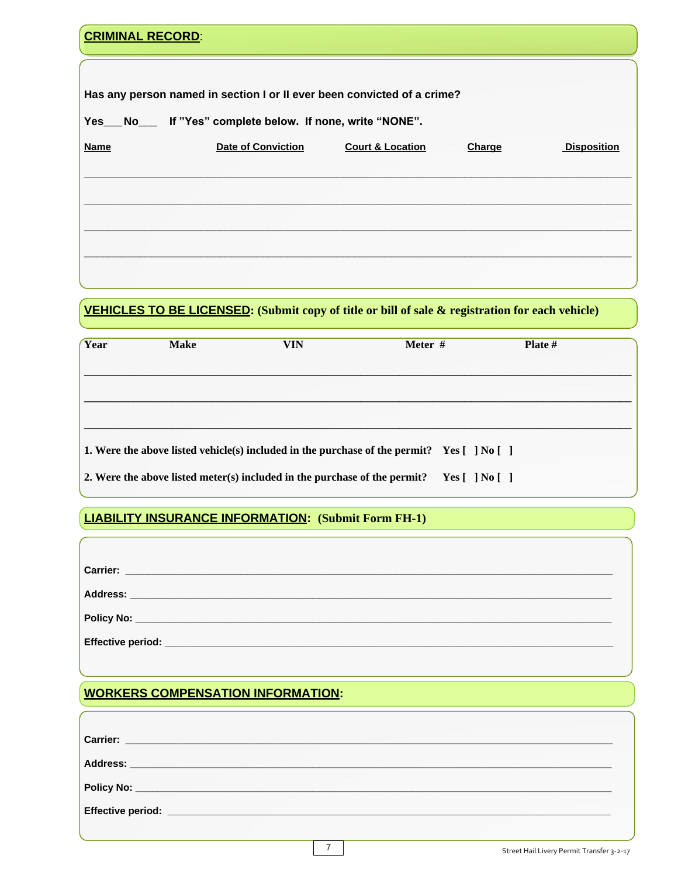| <b>CRIMINAL RECORD:</b> |                                                                         |                             |        |                    |
|-------------------------|-------------------------------------------------------------------------|-----------------------------|--------|--------------------|
|                         |                                                                         |                             |        |                    |
|                         | Has any person named in section I or II ever been convicted of a crime? |                             |        |                    |
|                         | Yes__No___ If "Yes" complete below. If none, write "NONE".              |                             |        |                    |
| <b>Name</b>             | <b>Date of Conviction</b>                                               | <b>Court &amp; Location</b> | Charge | <b>Disposition</b> |
|                         |                                                                         |                             |        |                    |
|                         |                                                                         |                             |        |                    |
|                         |                                                                         |                             |        |                    |
|                         |                                                                         |                             |        |                    |
|                         |                                                                         |                             |        |                    |

# VEHICLES TO BE LICENSED: (Submit copy of title or bill of sale & registration for each vehicle)

| Year | <b>Make</b> | <b>VIN</b>                                                                | Meter #                                                                                               | <b>Plate</b> $#$ |
|------|-------------|---------------------------------------------------------------------------|-------------------------------------------------------------------------------------------------------|------------------|
|      |             |                                                                           |                                                                                                       |                  |
|      |             |                                                                           |                                                                                                       |                  |
|      |             |                                                                           |                                                                                                       |                  |
|      |             |                                                                           | 1. Were the above listed vehicle(s) included in the purchase of the permit? Yes $\lceil$  No $\lceil$ |                  |
|      |             | 2. Were the above listed meter(s) included in the purchase of the permit? | Yes [ ] No [ ]                                                                                        |                  |

# **LIABILITY INSURANCE INFORMATION: (Submit Form FH-1)**

| Carrier: <b>William Carrier:</b> William Carrier: William Carrier: William Carrier: William Carrier: William Carrier: William Carrier: William Carrier: William Carrier: William Carrier: William Carrier: William Carrier: William |  |
|-------------------------------------------------------------------------------------------------------------------------------------------------------------------------------------------------------------------------------------|--|
|                                                                                                                                                                                                                                     |  |
|                                                                                                                                                                                                                                     |  |
|                                                                                                                                                                                                                                     |  |

# **WORKERS COMPENSATION INFORMATION:**

|  | Street Hail Livery Permit Transfer 3-2-17 |
|--|-------------------------------------------|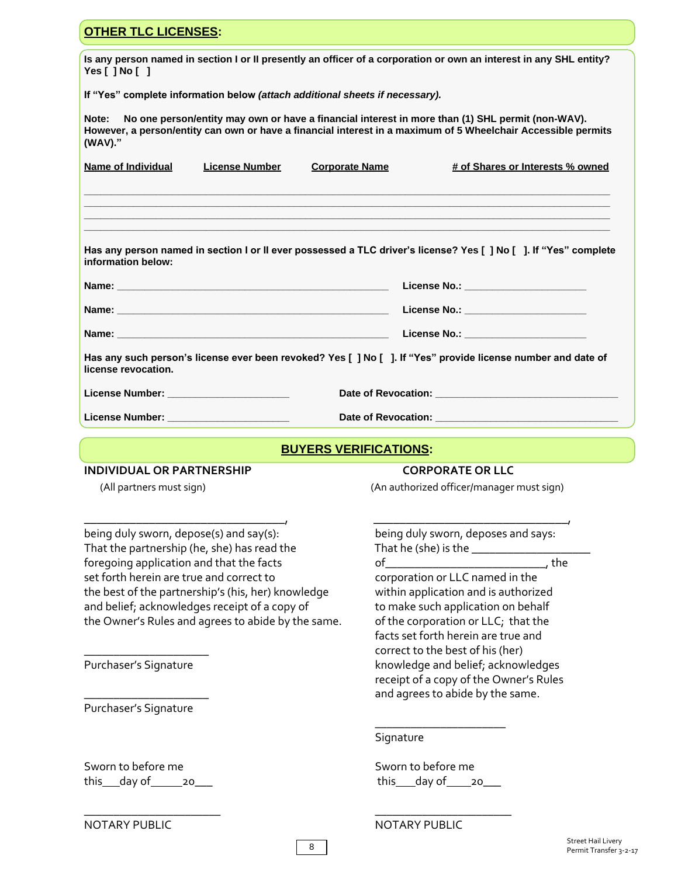| <b>OTHER TLC LICENSES:</b>                                                                                                                                                                                                            |                                                                            |  |  |  |
|---------------------------------------------------------------------------------------------------------------------------------------------------------------------------------------------------------------------------------------|----------------------------------------------------------------------------|--|--|--|
| Is any person named in section I or II presently an officer of a corporation or own an interest in any SHL entity?<br>Yes $[$ $]$ No $[$ $]$                                                                                          |                                                                            |  |  |  |
| If "Yes" complete information below (attach additional sheets if necessary).                                                                                                                                                          |                                                                            |  |  |  |
| No one person/entity may own or have a financial interest in more than (1) SHL permit (non-WAV).<br>Note:<br>However, a person/entity can own or have a financial interest in a maximum of 5 Wheelchair Accessible permits<br>(WAV)." |                                                                            |  |  |  |
| Name of Individual<br><b>License Number</b><br><b>Corporate Name</b>                                                                                                                                                                  | # of Shares or Interests % owned                                           |  |  |  |
|                                                                                                                                                                                                                                       |                                                                            |  |  |  |
| Has any person named in section I or II ever possessed a TLC driver's license? Yes [ ] No [ ]. If "Yes" complete<br>information below:                                                                                                |                                                                            |  |  |  |
|                                                                                                                                                                                                                                       | License No.: _________________________                                     |  |  |  |
|                                                                                                                                                                                                                                       |                                                                            |  |  |  |
|                                                                                                                                                                                                                                       |                                                                            |  |  |  |
| Has any such person's license ever been revoked? Yes [ ] No [ ]. If "Yes" provide license number and date of<br>license revocation.                                                                                                   |                                                                            |  |  |  |
| License Number: ________________________                                                                                                                                                                                              |                                                                            |  |  |  |
| License Number: ______________________                                                                                                                                                                                                |                                                                            |  |  |  |
| <b>BUYERS VERIFICATIONS:</b>                                                                                                                                                                                                          |                                                                            |  |  |  |
| <b>INDIVIDUAL OR PARTNERSHIP</b>                                                                                                                                                                                                      | <b>CORPORATE OR LLC</b>                                                    |  |  |  |
| (All partners must sign)                                                                                                                                                                                                              | (An authorized officer/manager must sign)                                  |  |  |  |
|                                                                                                                                                                                                                                       |                                                                            |  |  |  |
| being duly sworn, depose(s) and say(s):<br>That the partnership (he, she) has read the                                                                                                                                                | being duly sworn, deposes and says:                                        |  |  |  |
| foregoing application and that the facts                                                                                                                                                                                              |                                                                            |  |  |  |
| set forth herein are true and correct to<br>the best of the partnership's (his, her) knowledge                                                                                                                                        | corporation or LLC named in the<br>within application and is authorized    |  |  |  |
| and belief, acknowledges receipt of a copy of                                                                                                                                                                                         | to make such application on behalf                                         |  |  |  |
| the Owner's Rules and agrees to abide by the same.                                                                                                                                                                                    | of the corporation or LLC; that the<br>facts set forth herein are true and |  |  |  |
|                                                                                                                                                                                                                                       |                                                                            |  |  |  |
| Purchaser's Signature                                                                                                                                                                                                                 | correct to the best of his (her)<br>knowledge and belief; acknowledges     |  |  |  |
|                                                                                                                                                                                                                                       | receipt of a copy of the Owner's Rules                                     |  |  |  |
| Purchaser's Signature                                                                                                                                                                                                                 | and agrees to abide by the same.                                           |  |  |  |
|                                                                                                                                                                                                                                       | Signature                                                                  |  |  |  |
| Sworn to before me<br>this $\_\$ day of $\_\_\$ 20                                                                                                                                                                                    | Sworn to before me<br>this ___ day of ____ 20___                           |  |  |  |

NOTARY PUBLIC NOTARY PUBLIC

8

\_\_\_\_\_\_\_\_\_\_\_\_\_\_\_\_\_\_\_\_\_\_\_ \_\_\_\_\_\_\_\_\_\_\_\_\_\_\_\_\_\_\_\_\_\_\_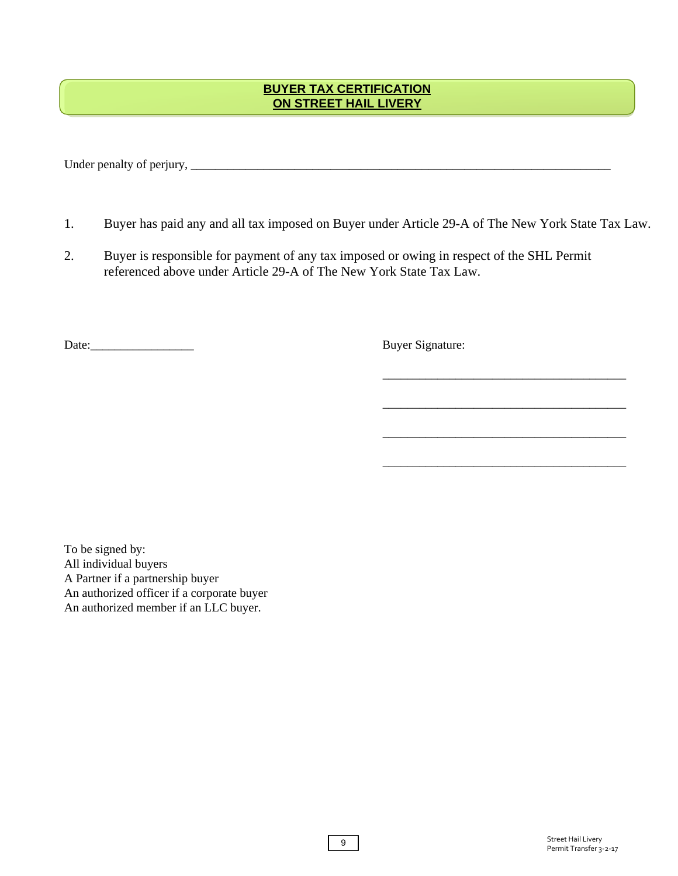#### **BUYER TAX CERTIFICATION ON STREET HAIL LIVERY**

Under penalty of perjury, \_\_\_\_\_\_\_\_\_\_\_\_\_\_\_\_\_\_\_\_\_\_\_\_\_\_\_\_\_\_\_\_\_\_\_\_\_\_\_\_\_\_\_\_\_\_\_\_\_\_\_\_\_\_\_\_\_\_\_\_\_\_\_\_\_\_\_\_\_

- 1. Buyer has paid any and all tax imposed on Buyer under Article 29-A of The New York State Tax Law.
- 2. Buyer is responsible for payment of any tax imposed or owing in respect of the SHL Permit referenced above under Article 29-A of The New York State Tax Law.

Date: Buyer Signature:

\_\_\_\_\_\_\_\_\_\_\_\_\_\_\_\_\_\_\_\_\_\_\_\_\_\_\_\_\_\_\_\_\_\_\_\_\_\_\_\_

\_\_\_\_\_\_\_\_\_\_\_\_\_\_\_\_\_\_\_\_\_\_\_\_\_\_\_\_\_\_\_\_\_\_\_\_\_\_\_\_

\_\_\_\_\_\_\_\_\_\_\_\_\_\_\_\_\_\_\_\_\_\_\_\_\_\_\_\_\_\_\_\_\_\_\_\_\_\_\_\_

\_\_\_\_\_\_\_\_\_\_\_\_\_\_\_\_\_\_\_\_\_\_\_\_\_\_\_\_\_\_\_\_\_\_\_\_\_\_\_\_

To be signed by: All individual buyers A Partner if a partnership buyer An authorized officer if a corporate buyer An authorized member if an LLC buyer.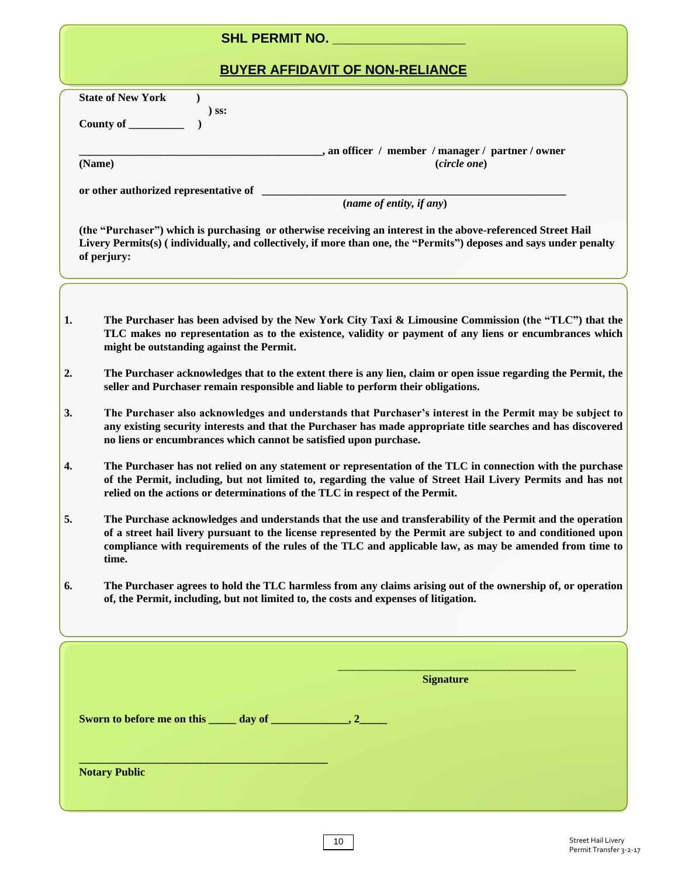## **SHL PERMIT NO. \_\_\_\_\_\_\_\_\_\_\_\_\_\_\_\_\_\_**

# **BUYER AFFIDAVIT OF NON-RELIANCE**

|    | <b>State of New York</b><br>$\lambda$<br>$)$ SS:                                                                                                                                                                                                                                                                                                |  |  |  |  |  |  |  |
|----|-------------------------------------------------------------------------------------------------------------------------------------------------------------------------------------------------------------------------------------------------------------------------------------------------------------------------------------------------|--|--|--|--|--|--|--|
|    | County of ________                                                                                                                                                                                                                                                                                                                              |  |  |  |  |  |  |  |
|    | _, an officer / member / manager / partner / owner<br>(circle one)<br>(Name)                                                                                                                                                                                                                                                                    |  |  |  |  |  |  |  |
|    | or other authorized representative of                                                                                                                                                                                                                                                                                                           |  |  |  |  |  |  |  |
|    | (name of entity, if any)                                                                                                                                                                                                                                                                                                                        |  |  |  |  |  |  |  |
|    | (the "Purchaser") which is purchasing or otherwise receiving an interest in the above-referenced Street Hail<br>Livery Permits(s) (individually, and collectively, if more than one, the "Permits") deposes and says under penalty<br>of perjury:                                                                                               |  |  |  |  |  |  |  |
|    |                                                                                                                                                                                                                                                                                                                                                 |  |  |  |  |  |  |  |
| 1. | The Purchaser has been advised by the New York City Taxi & Limousine Commission (the "TLC") that the<br>TLC makes no representation as to the existence, validity or payment of any liens or encumbrances which<br>might be outstanding against the Permit.                                                                                     |  |  |  |  |  |  |  |
| 2. | The Purchaser acknowledges that to the extent there is any lien, claim or open issue regarding the Permit, the<br>seller and Purchaser remain responsible and liable to perform their obligations.                                                                                                                                              |  |  |  |  |  |  |  |
| 3. | The Purchaser also acknowledges and understands that Purchaser's interest in the Permit may be subject to<br>any existing security interests and that the Purchaser has made appropriate title searches and has discovered<br>no liens or encumbrances which cannot be satisfied upon purchase.                                                 |  |  |  |  |  |  |  |
| 4. | The Purchaser has not relied on any statement or representation of the TLC in connection with the purchase<br>of the Permit, including, but not limited to, regarding the value of Street Hail Livery Permits and has not<br>relied on the actions or determinations of the TLC in respect of the Permit.                                       |  |  |  |  |  |  |  |
| 5. | The Purchase acknowledges and understands that the use and transferability of the Permit and the operation<br>of a street hail livery pursuant to the license represented by the Permit are subject to and conditioned upon<br>compliance with requirements of the rules of the TLC and applicable law, as may be amended from time to<br>time. |  |  |  |  |  |  |  |
| 6. | The Purchaser agrees to hold the TLC harmless from any claims arising out of the ownership of, or operation<br>of, the Permit, including, but not limited to, the costs and expenses of litigation.                                                                                                                                             |  |  |  |  |  |  |  |
|    |                                                                                                                                                                                                                                                                                                                                                 |  |  |  |  |  |  |  |
|    |                                                                                                                                                                                                                                                                                                                                                 |  |  |  |  |  |  |  |
|    |                                                                                                                                                                                                                                                                                                                                                 |  |  |  |  |  |  |  |
|    | <b>Signature</b>                                                                                                                                                                                                                                                                                                                                |  |  |  |  |  |  |  |
|    |                                                                                                                                                                                                                                                                                                                                                 |  |  |  |  |  |  |  |
|    | <b>Notary Public</b>                                                                                                                                                                                                                                                                                                                            |  |  |  |  |  |  |  |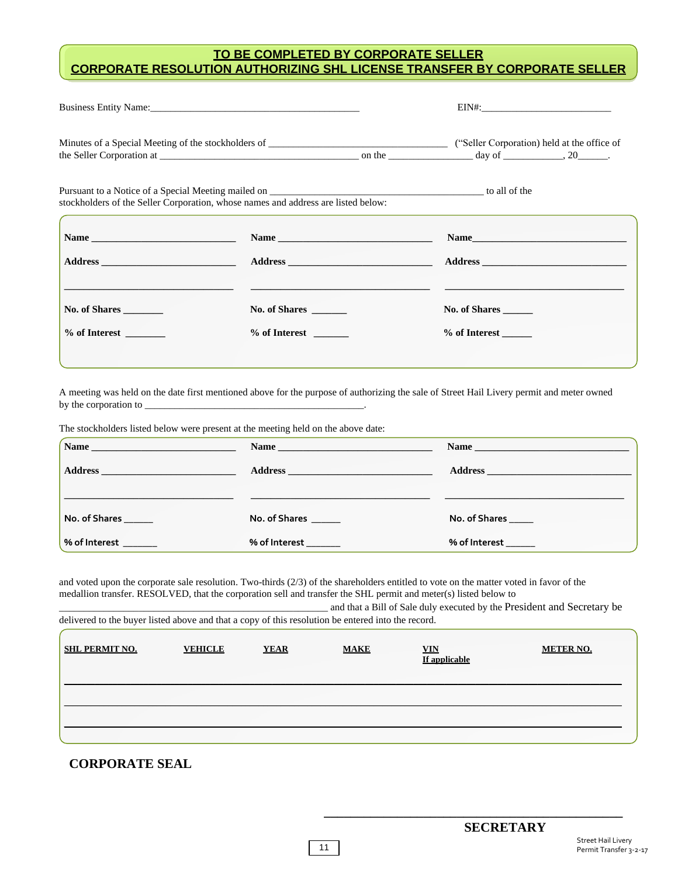#### **TO BE COMPLETED BY CORPORATE SELLER CORPORATE RESOLUTION AUTHORIZING SHL LICENSE TRANSFER BY CORPORATE SELLER**

|               | Pursuant to a Notice of a Special Meeting mailed on <b>Example 2</b> to all of the contract to a Notice of a Special Meeting mailed on<br>stockholders of the Seller Corporation, whose names and address are listed below: |               |  |  |  |
|---------------|-----------------------------------------------------------------------------------------------------------------------------------------------------------------------------------------------------------------------------|---------------|--|--|--|
|               |                                                                                                                                                                                                                             | Name          |  |  |  |
|               |                                                                                                                                                                                                                             |               |  |  |  |
| No. of Shares | No. of Shares                                                                                                                                                                                                               | No. of Shares |  |  |  |
|               | % of Interest                                                                                                                                                                                                               | % of Interest |  |  |  |
|               |                                                                                                                                                                                                                             |               |  |  |  |

A meeting was held on the date first mentioned above for the purpose of authorizing the sale of Street Hail Livery permit and meter owned by the corporation to

The stockholders listed below were present at the meeting held on the above date:

| $\blacksquare$ Name   | Name          |               |
|-----------------------|---------------|---------------|
|                       |               |               |
|                       |               |               |
| No. of Shares         | No. of Shares | No. of Shares |
| % of Interest _______ | % of Interest | % of Interest |

and voted upon the corporate sale resolution. Two-thirds (2/3) of the shareholders entitled to vote on the matter voted in favor of the medallion transfer. RESOLVED, that the corporation sell and transfer the SHL permit and meter(s) listed below to and that a Bill of Sale duly executed by the President and Secretary be

| delivered to the buyer listed above and that a copy of this resolution be entered into the record. |                |             |             |                             | and that a $D_{III}$ of bare dary executed by the Freshdent and beereus $\gamma$ be |
|----------------------------------------------------------------------------------------------------|----------------|-------------|-------------|-----------------------------|-------------------------------------------------------------------------------------|
| <b>SHL PERMIT NO.</b>                                                                              | <b>VEHICLE</b> | <b>YEAR</b> | <b>MAKE</b> | <b>VIN</b><br>If applicable | <b>METER NO.</b>                                                                    |
|                                                                                                    |                |             |             |                             |                                                                                     |
|                                                                                                    |                |             |             |                             |                                                                                     |
|                                                                                                    |                |             |             |                             |                                                                                     |

#### **CORPORATE SEAL**

**\_\_\_\_\_\_\_\_\_\_\_\_\_\_\_\_\_\_\_\_\_\_\_\_\_\_\_\_\_\_\_\_\_\_\_\_\_\_\_\_\_\_\_\_\_**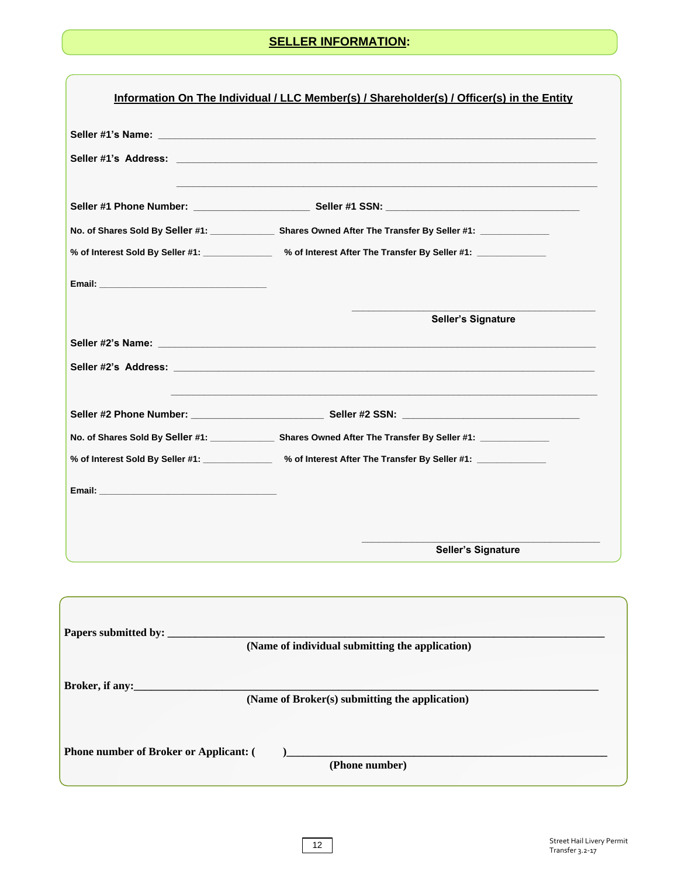#### **SELLER INFORMATION:**

|                                                   | Seller #1 Phone Number: _______________________________Seller #1 SSN: ______________________________          |
|---------------------------------------------------|---------------------------------------------------------------------------------------------------------------|
|                                                   | No. of Shares Sold By Seller #1: ________________ Shares Owned After The Transfer By Seller #1: _____________ |
|                                                   | % of Interest Sold By Seller #1: _____________ % of Interest After The Transfer By Seller #1: ___________     |
| Email: <u>Alexander School (Alexander School)</u> |                                                                                                               |
|                                                   | <b>Seller's Signature</b>                                                                                     |
|                                                   |                                                                                                               |
|                                                   |                                                                                                               |
|                                                   |                                                                                                               |
|                                                   | No. of Shares Sold By Seller #1: _______________ Shares Owned After The Transfer By Seller #1: ___________    |
|                                                   | % of Interest Sold By Seller #1: _____________ % of Interest After The Transfer By Seller #1: ___________     |
|                                                   |                                                                                                               |
|                                                   |                                                                                                               |
|                                                   |                                                                                                               |
|                                                   | Seller's Signature                                                                                            |
|                                                   |                                                                                                               |
|                                                   |                                                                                                               |
|                                                   | (Name of individual submitting the application)                                                               |
|                                                   |                                                                                                               |
| Broker, if any:                                   | (Name of Broker(s) submitting the application)                                                                |
|                                                   |                                                                                                               |

**(Phone number)**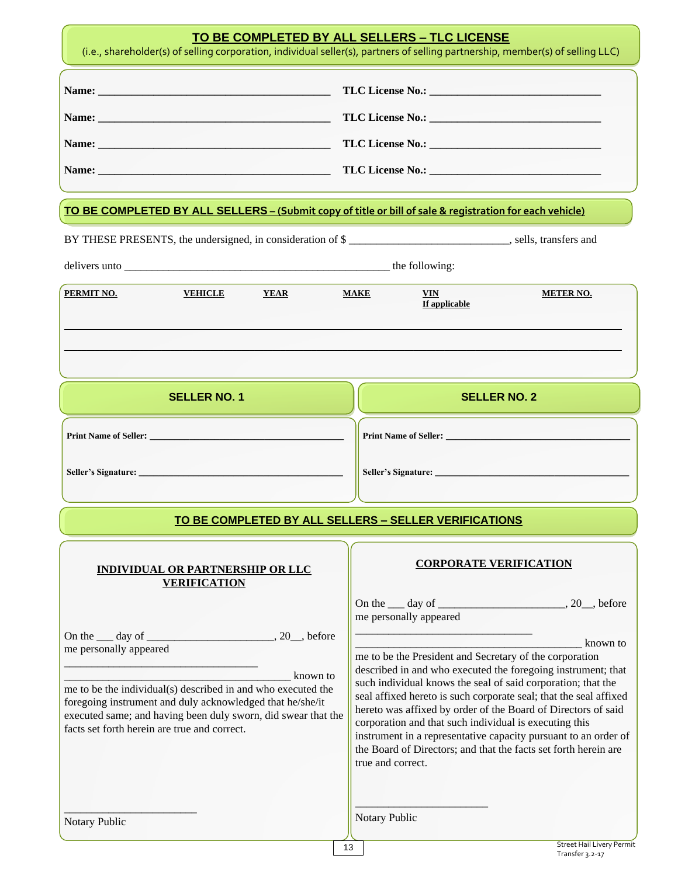|                        |                                                                                                                                                                                                                                                                                                                                                                                                                                                                                   |             |                   | TO BE COMPLETED BY ALL SELLERS - TLC LICENSE                                                                                                | (i.e., shareholder(s) of selling corporation, individual seller(s), partners of selling partnership, member(s) of selling LLC)                                                                                                                                                                                                                                                                                       |
|------------------------|-----------------------------------------------------------------------------------------------------------------------------------------------------------------------------------------------------------------------------------------------------------------------------------------------------------------------------------------------------------------------------------------------------------------------------------------------------------------------------------|-------------|-------------------|---------------------------------------------------------------------------------------------------------------------------------------------|----------------------------------------------------------------------------------------------------------------------------------------------------------------------------------------------------------------------------------------------------------------------------------------------------------------------------------------------------------------------------------------------------------------------|
|                        |                                                                                                                                                                                                                                                                                                                                                                                                                                                                                   |             |                   |                                                                                                                                             |                                                                                                                                                                                                                                                                                                                                                                                                                      |
|                        |                                                                                                                                                                                                                                                                                                                                                                                                                                                                                   |             |                   | TO BE COMPLETED BY ALL SELLERS - (Submit copy of title or bill of sale & registration for each vehicle)                                     |                                                                                                                                                                                                                                                                                                                                                                                                                      |
|                        |                                                                                                                                                                                                                                                                                                                                                                                                                                                                                   |             |                   | BY THESE PRESENTS, the undersigned, in consideration of \$                                                                                  |                                                                                                                                                                                                                                                                                                                                                                                                                      |
|                        |                                                                                                                                                                                                                                                                                                                                                                                                                                                                                   |             |                   |                                                                                                                                             |                                                                                                                                                                                                                                                                                                                                                                                                                      |
| PERMIT NO.             | <b>VEHICLE</b>                                                                                                                                                                                                                                                                                                                                                                                                                                                                    | <b>YEAR</b> | <b>MAKE</b>       | VIN<br><b>If applicable</b>                                                                                                                 | <b>METER NO.</b>                                                                                                                                                                                                                                                                                                                                                                                                     |
|                        | <b>SELLER NO. 1</b>                                                                                                                                                                                                                                                                                                                                                                                                                                                               |             |                   |                                                                                                                                             | <b>SELLER NO. 2</b>                                                                                                                                                                                                                                                                                                                                                                                                  |
|                        |                                                                                                                                                                                                                                                                                                                                                                                                                                                                                   |             |                   |                                                                                                                                             |                                                                                                                                                                                                                                                                                                                                                                                                                      |
|                        |                                                                                                                                                                                                                                                                                                                                                                                                                                                                                   |             |                   |                                                                                                                                             |                                                                                                                                                                                                                                                                                                                                                                                                                      |
|                        |                                                                                                                                                                                                                                                                                                                                                                                                                                                                                   |             |                   |                                                                                                                                             |                                                                                                                                                                                                                                                                                                                                                                                                                      |
|                        |                                                                                                                                                                                                                                                                                                                                                                                                                                                                                   |             |                   |                                                                                                                                             |                                                                                                                                                                                                                                                                                                                                                                                                                      |
|                        |                                                                                                                                                                                                                                                                                                                                                                                                                                                                                   |             |                   | TO BE COMPLETED BY ALL SELLERS - SELLER VERIFICATIONS                                                                                       |                                                                                                                                                                                                                                                                                                                                                                                                                      |
|                        | <b>INDIVIDUAL OR PARTNERSHIP OR LLC</b><br><b>VERIFICATION</b>                                                                                                                                                                                                                                                                                                                                                                                                                    |             |                   | <b>CORPORATE VERIFICATION</b>                                                                                                               |                                                                                                                                                                                                                                                                                                                                                                                                                      |
| me personally appeared | On the <u>same day of successive and a set of</u> and a set of the set of the set of the set of the set of the set of the set of the set of the set of the set of the set of the set of the set of the set of the set of the set of<br>me to be the individual(s) described in and who executed the<br>foregoing instrument and duly acknowledged that he/she/it<br>executed same; and having been duly sworn, did swear that the<br>facts set forth herein are true and correct. | known to    | true and correct. | me personally appeared<br>me to be the President and Secretary of the corporation<br>corporation and that such individual is executing this | known to<br>described in and who executed the foregoing instrument; that<br>such individual knows the seal of said corporation; that the<br>seal affixed hereto is such corporate seal; that the seal affixed<br>hereto was affixed by order of the Board of Directors of said<br>instrument in a representative capacity pursuant to an order of<br>the Board of Directors; and that the facts set forth herein are |
| Notary Public          |                                                                                                                                                                                                                                                                                                                                                                                                                                                                                   |             | Notary Public     |                                                                                                                                             |                                                                                                                                                                                                                                                                                                                                                                                                                      |
|                        |                                                                                                                                                                                                                                                                                                                                                                                                                                                                                   |             | 13                |                                                                                                                                             | <b>Street Hail Livery Permit</b><br>Transfer 3.2-17                                                                                                                                                                                                                                                                                                                                                                  |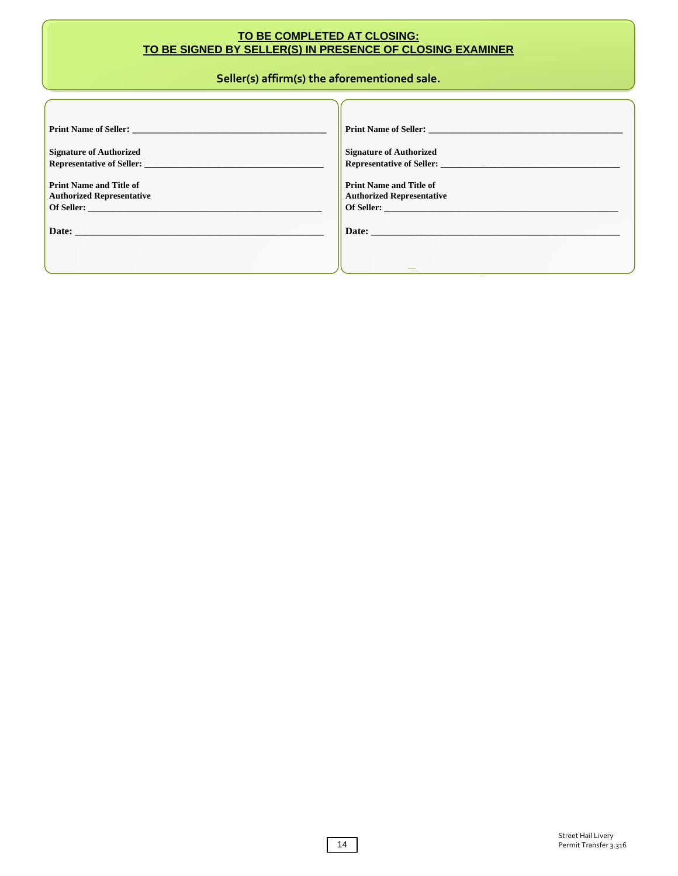#### **TO BE COMPLETED AT CLOSING: TO BE SIGNED BY SELLER(S) IN PRESENCE OF CLOSING EXAMINER**

#### **Seller(s) affirm(s) the aforementioned sale.**

| <b>Print Name of Seller:</b> The second service of $\mathcal{L}$                                                                                                                                                                   | <b>Print Name of Seller:</b> The second service of $\mathcal{S}$ and $\mathcal{S}$ and $\mathcal{S}$ are set of $\mathcal{S}$ and $\mathcal{S}$ are set of $\mathcal{S}$ and $\mathcal{S}$ are set of $\mathcal{S}$ and $\mathcal{S}$ are set of $\mathcal{S}$ and $\mathcal{S}$ are set o |
|------------------------------------------------------------------------------------------------------------------------------------------------------------------------------------------------------------------------------------|--------------------------------------------------------------------------------------------------------------------------------------------------------------------------------------------------------------------------------------------------------------------------------------------|
| <b>Signature of Authorized</b>                                                                                                                                                                                                     | <b>Signature of Authorized</b>                                                                                                                                                                                                                                                             |
| <b>Representative of Seller:</b> New York 1989 and 1989 and 1989 and 1989 and 1989 and 1989 and 1989 and 1989 and 1989 and 1989 and 1989 and 1989 and 1989 and 1989 and 1989 and 1989 and 1989 and 1989 and 1989 and 1989 and 1989 |                                                                                                                                                                                                                                                                                            |
| <b>Print Name and Title of</b>                                                                                                                                                                                                     | <b>Print Name and Title of</b>                                                                                                                                                                                                                                                             |
| <b>Authorized Representative</b><br>Of Seller:                                                                                                                                                                                     | <b>Authorized Representative</b><br>Of Seller:                                                                                                                                                                                                                                             |
|                                                                                                                                                                                                                                    | Date:                                                                                                                                                                                                                                                                                      |
|                                                                                                                                                                                                                                    |                                                                                                                                                                                                                                                                                            |
|                                                                                                                                                                                                                                    |                                                                                                                                                                                                                                                                                            |
|                                                                                                                                                                                                                                    | $\sim$                                                                                                                                                                                                                                                                                     |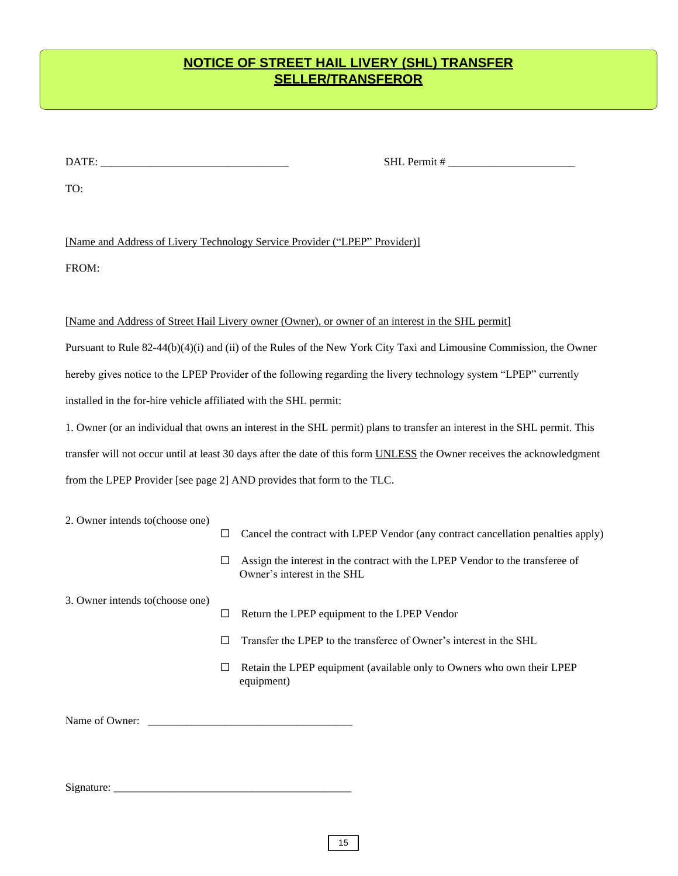## **NOTICE OF STREET HAIL LIVERY (SHL) TRANSFER SELLER/TRANSFEROR**

DATE: \_\_\_\_\_\_\_\_\_\_\_\_\_\_\_\_\_\_\_\_\_\_\_\_\_\_\_\_\_\_\_\_\_\_ SHL Permit # \_\_\_\_\_\_\_\_\_\_\_\_\_\_\_\_\_\_\_\_\_\_\_

TO:

[Name and Address of Livery Technology Service Provider ("LPEP" Provider)]

FROM:

#### [Name and Address of Street Hail Livery owner (Owner), or owner of an interest in the SHL permit]

Pursuant to Rule 82-44(b)(4)(i) and (ii) of the Rules of the New York City Taxi and Limousine Commission, the Owner hereby gives notice to the LPEP Provider of the following regarding the livery technology system "LPEP" currently installed in the for-hire vehicle affiliated with the SHL permit:

1. Owner (or an individual that owns an interest in the SHL permit) plans to transfer an interest in the SHL permit. This transfer will not occur until at least 30 days after the date of this form UNLESS the Owner receives the acknowledgment from the LPEP Provider [see page 2] AND provides that form to the TLC.

| 2. Owner intends to (choose one) |   |                                                                                                              |
|----------------------------------|---|--------------------------------------------------------------------------------------------------------------|
|                                  |   | Cancel the contract with LPEP Vendor (any contract cancellation penalties apply)                             |
|                                  |   | Assign the interest in the contract with the LPEP Vendor to the transferee of<br>Owner's interest in the SHL |
| 3. Owner intends to (choose one) |   |                                                                                                              |
|                                  |   | Return the LPEP equipment to the LPEP Vendor                                                                 |
|                                  | П | Transfer the LPEP to the transferee of Owner's interest in the SHL                                           |
|                                  | ப | Retain the LPEP equipment (available only to Owners who own their LPEP<br>equipment)                         |
| Name of Owner:                   |   |                                                                                                              |

Signature: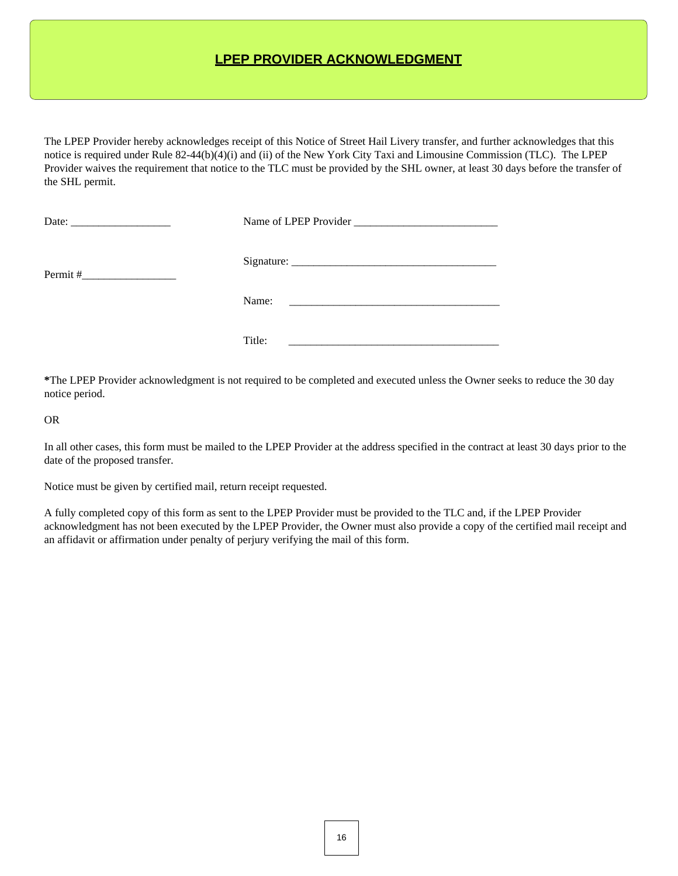### **LPEP PROVIDER ACKNOWLEDGMENT**

The LPEP Provider hereby acknowledges receipt of this Notice of Street Hail Livery transfer, and further acknowledges that this notice is required under Rule 82-44(b)(4)(i) and (ii) of the New York City Taxi and Limousine Commission (TLC). The LPEP Provider waives the requirement that notice to the TLC must be provided by the SHL owner, at least 30 days before the transfer of the SHL permit.

| Date: $\frac{1}{\sqrt{1-\frac{1}{2}} \cdot \frac{1}{2}}$ |        |
|----------------------------------------------------------|--------|
| Permit#                                                  |        |
|                                                          | Name:  |
|                                                          | Title: |

**\***The LPEP Provider acknowledgment is not required to be completed and executed unless the Owner seeks to reduce the 30 day notice period.

OR

In all other cases, this form must be mailed to the LPEP Provider at the address specified in the contract at least 30 days prior to the date of the proposed transfer.

Notice must be given by certified mail, return receipt requested.

A fully completed copy of this form as sent to the LPEP Provider must be provided to the TLC and, if the LPEP Provider acknowledgment has not been executed by the LPEP Provider, the Owner must also provide a copy of the certified mail receipt and an affidavit or affirmation under penalty of perjury verifying the mail of this form.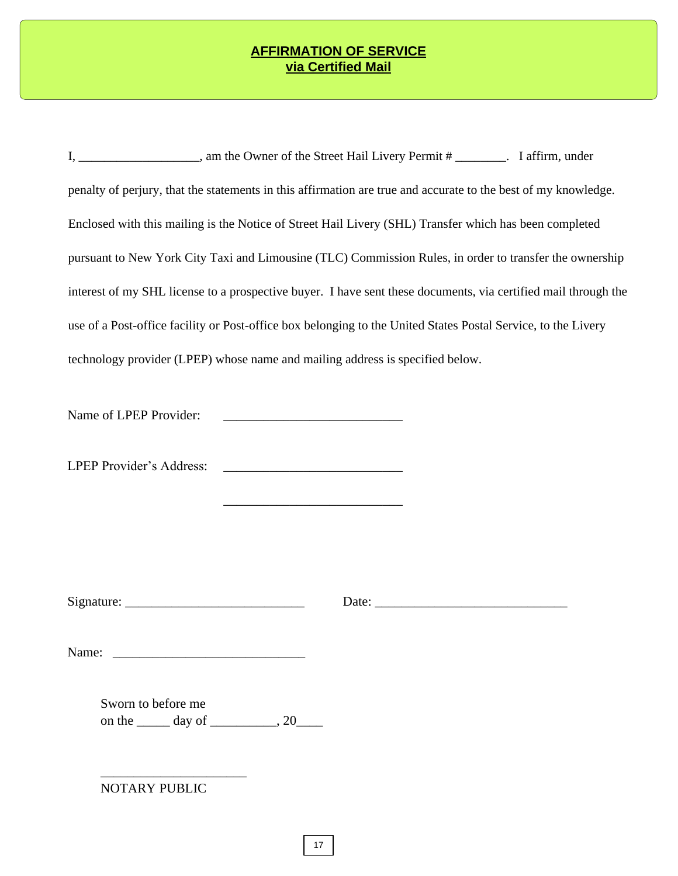#### **AFFIRMATION OF SERVICE via Certified Mail**

| I, _____________________, am the Owner of the Street Hail Livery Permit # ________. I affirm, under            |  |  |  |  |  |  |
|----------------------------------------------------------------------------------------------------------------|--|--|--|--|--|--|
| penalty of perjury, that the statements in this affirmation are true and accurate to the best of my knowledge. |  |  |  |  |  |  |
| Enclosed with this mailing is the Notice of Street Hail Livery (SHL) Transfer which has been completed         |  |  |  |  |  |  |
| pursuant to New York City Taxi and Limousine (TLC) Commission Rules, in order to transfer the ownership        |  |  |  |  |  |  |
| interest of my SHL license to a prospective buyer. I have sent these documents, via certified mail through the |  |  |  |  |  |  |
| use of a Post-office facility or Post-office box belonging to the United States Postal Service, to the Livery  |  |  |  |  |  |  |
| technology provider (LPEP) whose name and mailing address is specified below.                                  |  |  |  |  |  |  |
|                                                                                                                |  |  |  |  |  |  |
|                                                                                                                |  |  |  |  |  |  |
|                                                                                                                |  |  |  |  |  |  |
|                                                                                                                |  |  |  |  |  |  |

| Signature: |  |  |  |
|------------|--|--|--|
|            |  |  |  |
|            |  |  |  |

Signature: \_\_\_\_\_\_\_\_\_\_\_\_\_\_\_\_\_\_\_\_\_\_\_\_\_\_\_ Date: \_\_\_\_\_\_\_\_\_\_\_\_\_\_\_\_\_\_\_\_\_\_\_\_\_\_\_\_\_

Name: \_\_\_\_\_\_\_\_\_\_\_\_\_\_\_\_\_\_\_\_\_\_\_\_\_\_\_\_\_

Sworn to before me on the  $\rule{1em}{0.15mm}$  day of  $\rule{1em}{0.15mm}$ , 20 $\rule{1em}{0.15mm}$ 

NOTARY PUBLIC

\_\_\_\_\_\_\_\_\_\_\_\_\_\_\_\_\_\_\_\_\_\_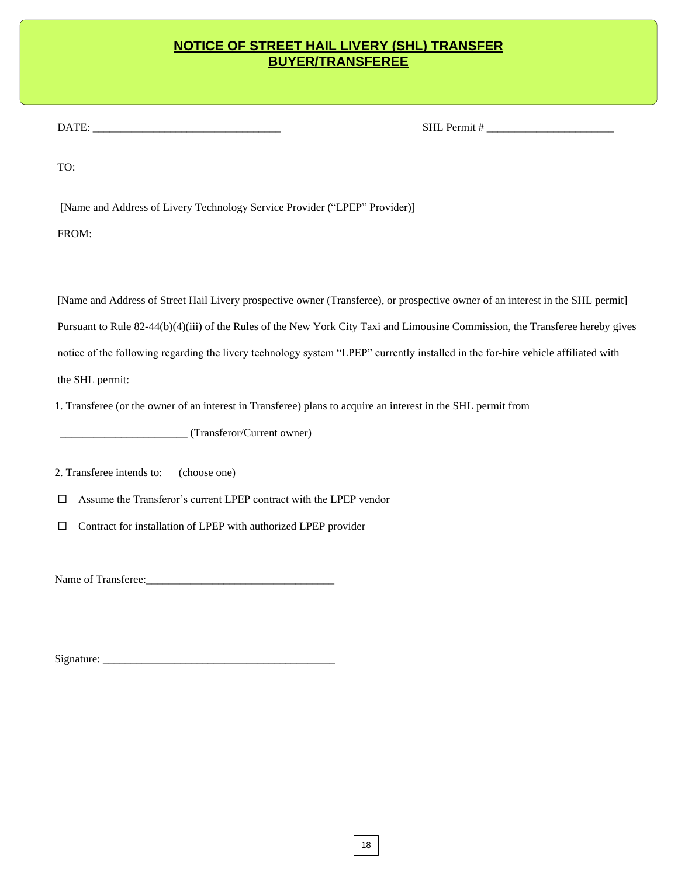#### **NOTICE OF STREET HAIL LIVERY (SHL) TRANSFER BUYER/TRANSFEREE**

DATE: \_\_\_\_\_\_\_\_\_\_\_\_\_\_\_\_\_\_\_\_\_\_\_\_\_\_\_\_\_\_\_\_\_\_ SHL Permit # \_\_\_\_\_\_\_\_\_\_\_\_\_\_\_\_\_\_\_\_\_\_\_

TO:

[Name and Address of Livery Technology Service Provider ("LPEP" Provider)]

FROM:

[Name and Address of Street Hail Livery prospective owner (Transferee), or prospective owner of an interest in the SHL permit] Pursuant to Rule 82-44(b)(4)(iii) of the Rules of the New York City Taxi and Limousine Commission, the Transferee hereby gives notice of the following regarding the livery technology system "LPEP" currently installed in the for-hire vehicle affiliated with the SHL permit:

1. Transferee (or the owner of an interest in Transferee) plans to acquire an interest in the SHL permit from

\_\_\_\_\_\_\_\_\_\_\_\_\_\_\_\_\_\_\_\_\_\_\_ (Transferor/Current owner)

2. Transferee intends to: (choose one)

Assume the Transferor's current LPEP contract with the LPEP vendor

 $\Box$  Contract for installation of LPEP with authorized LPEP provider

Name of Transferee:\_\_\_\_\_\_\_\_\_\_\_\_\_\_\_\_\_\_\_\_\_\_\_\_\_\_\_\_\_\_\_\_\_\_

Signature: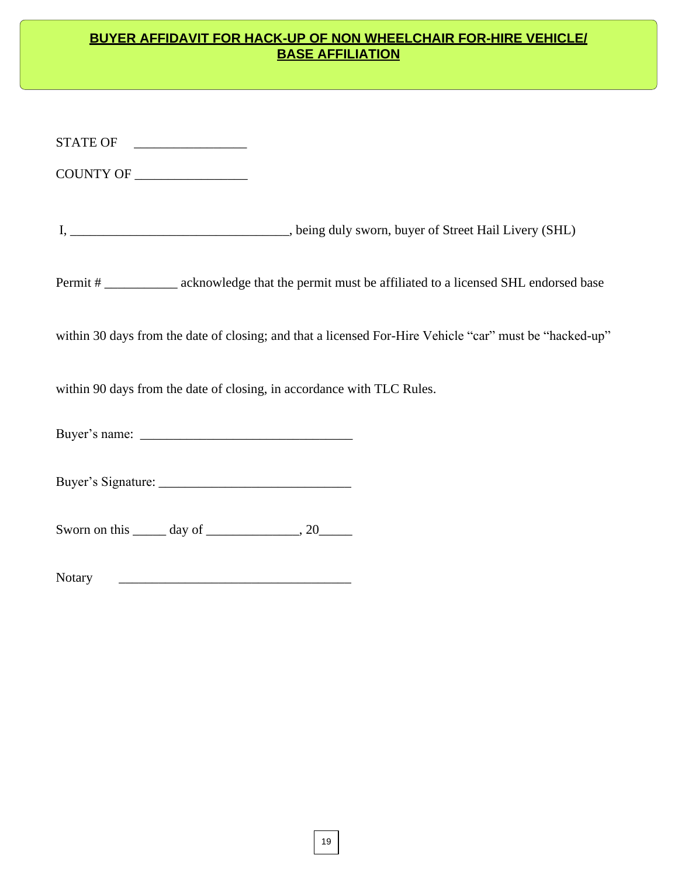### **BUYER AFFIDAVIT FOR HACK-UP OF NON WHEELCHAIR FOR-HIRE VEHICLE/ BASE AFFILIATION**

| Permit #______________ acknowledge that the permit must be affiliated to a licensed SHL endorsed base   |
|---------------------------------------------------------------------------------------------------------|
| within 30 days from the date of closing; and that a licensed For-Hire Vehicle "car" must be "hacked-up" |
| within 90 days from the date of closing, in accordance with TLC Rules.                                  |
|                                                                                                         |
|                                                                                                         |
| Sworn on this $\_\_\_\_$ day of $\_\_\_\_\_\_$ , 20 $\_\_\_\_\_$                                        |
| <b>Notary</b>                                                                                           |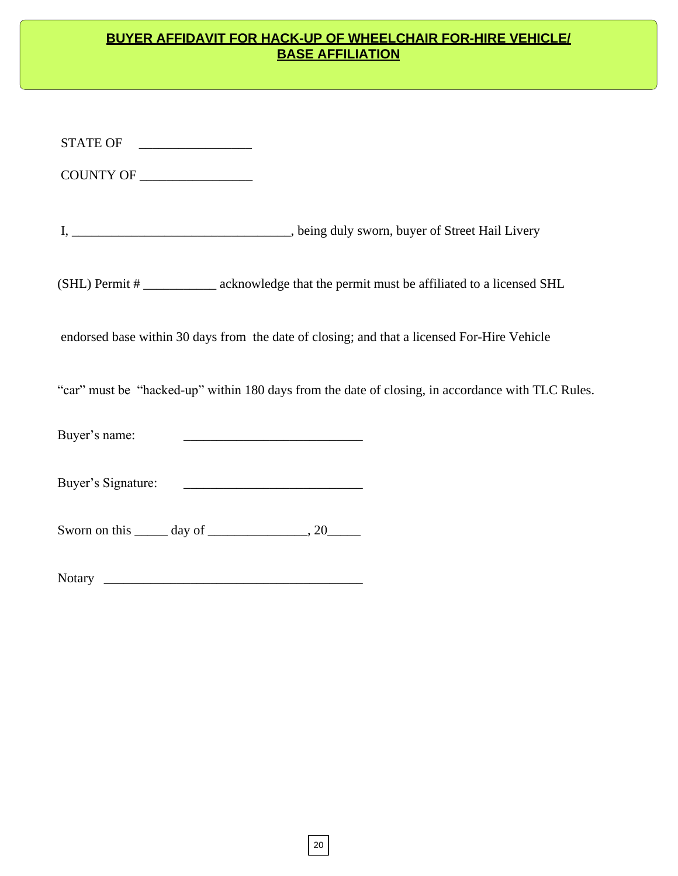### **BUYER AFFIDAVIT FOR HACK-UP OF WHEELCHAIR FOR-HIRE VEHICLE/ BASE AFFILIATION**

| STATE OF                                                                                          |  |
|---------------------------------------------------------------------------------------------------|--|
|                                                                                                   |  |
|                                                                                                   |  |
| I, ___________________________________, being duly sworn, buyer of Street Hail Livery             |  |
| (SHL) Permit #_____________ acknowledge that the permit must be affiliated to a licensed SHL      |  |
| endorsed base within 30 days from the date of closing; and that a licensed For-Hire Vehicle       |  |
| "car" must be "hacked-up" within 180 days from the date of closing, in accordance with TLC Rules. |  |
| <u> 1980 - Jan Barnett, fransk kongresu (d. 1980)</u><br>Buyer's name:                            |  |
|                                                                                                   |  |
| Sworn on this $\_\_\_\_$ day of $\_\_\_\_\_\_$ , 20 $\_\_\_\_\_$                                  |  |
|                                                                                                   |  |